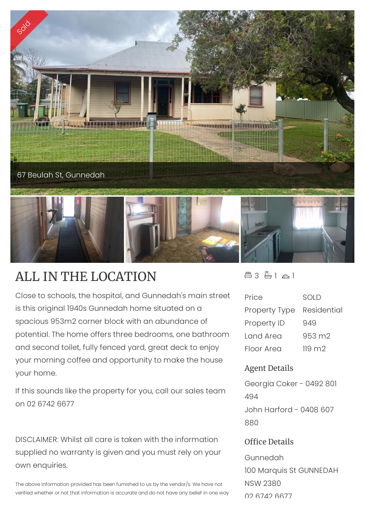

## ALL IN THE LOCATION

Close to schools, the hospital, and Gunnedah's main street is this original 1940s Gunnedah home situated on a spacious 953m2 corner block with an abundance of potential. The home offers three bedrooms, one bathroom and second toilet, fully fenced yard, great deck to enjoy your morning coffee and opportunity to make the house your home.

If this sounds like the property for you, call our sales team on 02 6742 6677

DISCLAIMER: Whilst all care is taken with the information supplied no warranty is given and you must rely on your own enquiries.

The above information provided has been furnished to us by the vendor/s. We have not verified whether or not that information is accurate and do not have any belief in one way  $43 - 1 - 1$ 

| Price                | SOLD            |
|----------------------|-----------------|
| <b>Property Type</b> | Residential     |
| Property ID          | 949             |
| Land Area            | 953 m2          |
| Floor Area           | $119 \text{ m}$ |

## Agent Details

Georgia Coker - 0492 801 494 John Harford - 0408 607 880

## Office Details

Gunnedah 100 Marquis St GUNNEDAH NSW 2380 02 6742 6677